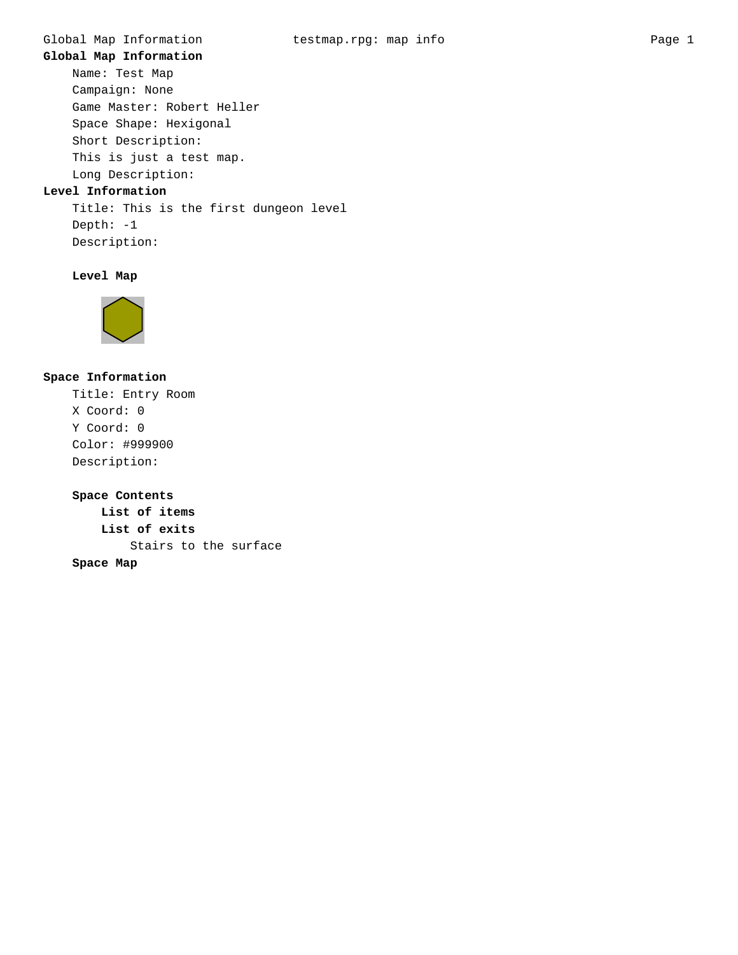# **Global Map Information**

Name: Test Map Campaign: None Game Master: Robert Heller Space Shape: Hexigonal Short Description: This is just a test map. Long Description:

# **Level Information**

Title: This is the first dungeon level Depth: -1 Description:

# **Level Map**



# **Space Information**

Title: Entry Room X Coord: 0 Y Coord: 0 Color: #999900 Description:

**Space Contents List of items List of exits** Stairs to the surface **Space Map**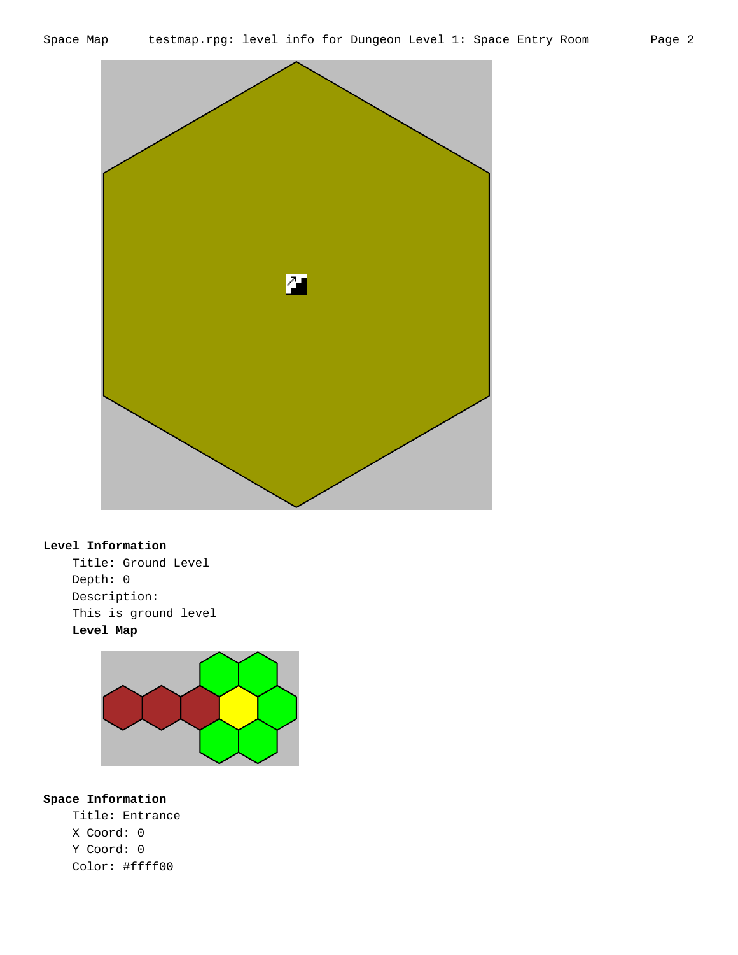

# **Level Information**

Title: Ground Level Depth: 0 Description: This is ground level **Level Map**



# **Space Information**

Title: Entrance X Coord: 0 Y Coord: 0 Color: #ffff00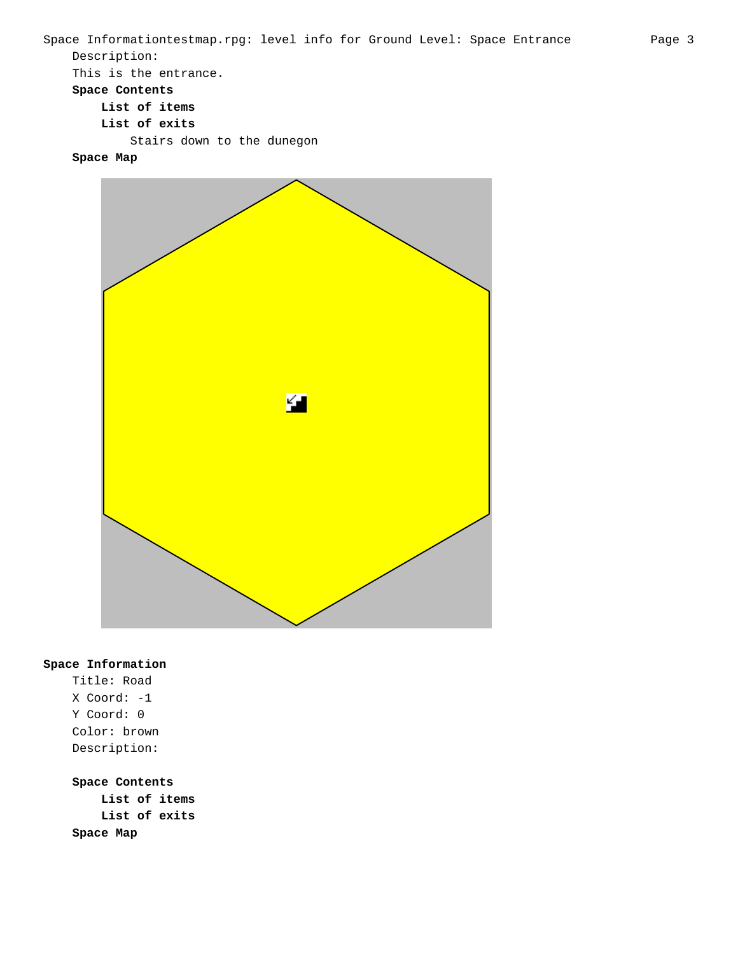```
Space Informationtestmap.rpg: level info for Ground Level: Space Entrance Page 3
Description:
This is the entrance.
Space Contents
    List of items
    List of exits
        Stairs down to the dunegon
```
**Space Map**



#### **Space Information**

Title: Road X Coord: -1 Y Coord: 0 Color: brown Description:

# **Space Contents**

**List of items List of exits Space Map**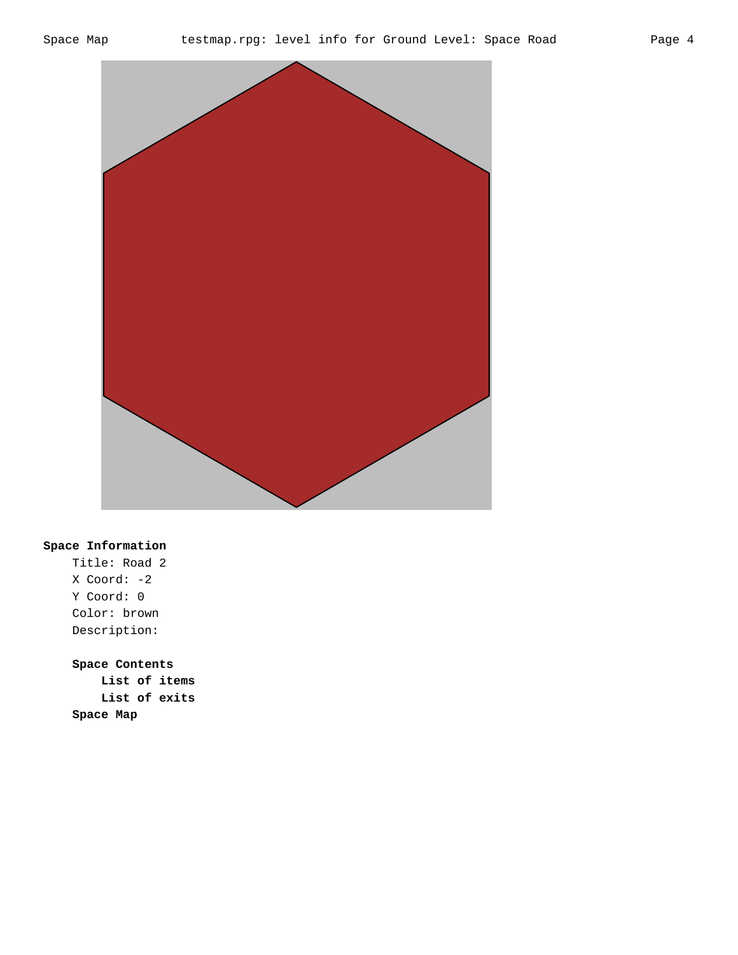

Title: Road 2 X Coord: -2 Y Coord: 0 Color: brown Description: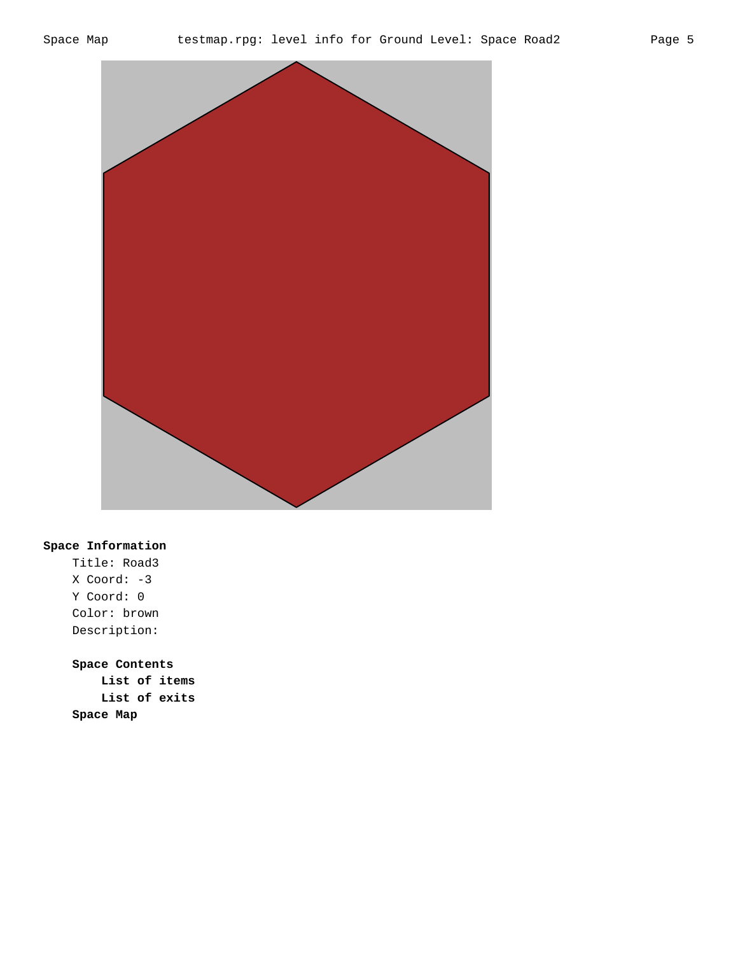



Title: Road3 X Coord: -3 Y Coord: 0 Color: brown Description: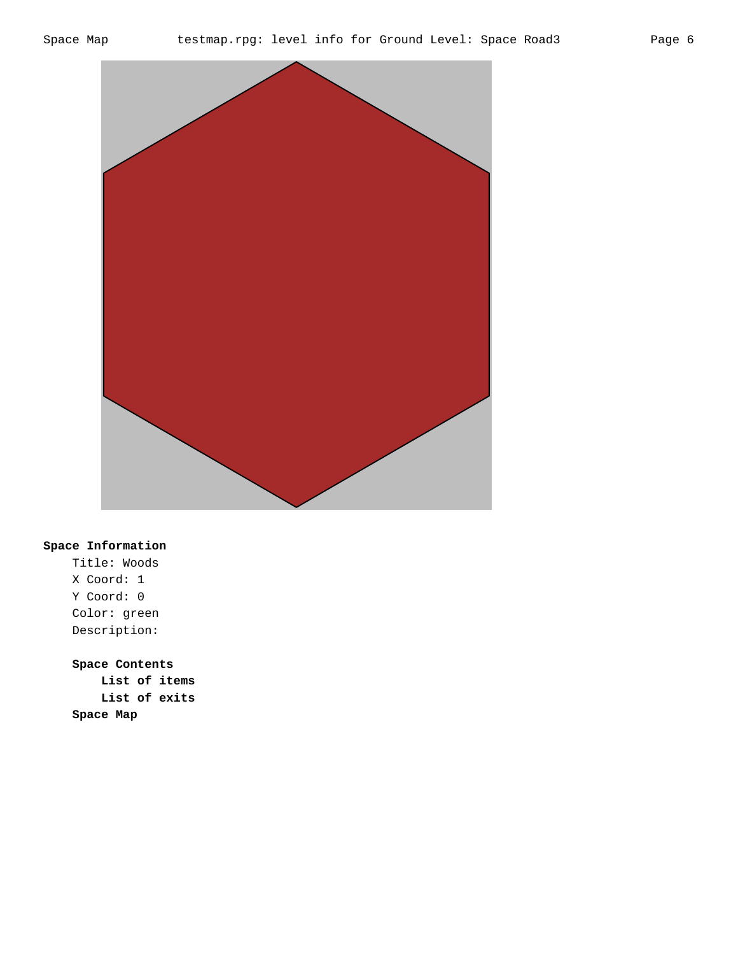



Title: Woods X Coord: 1 Y Coord: 0 Color: green Description: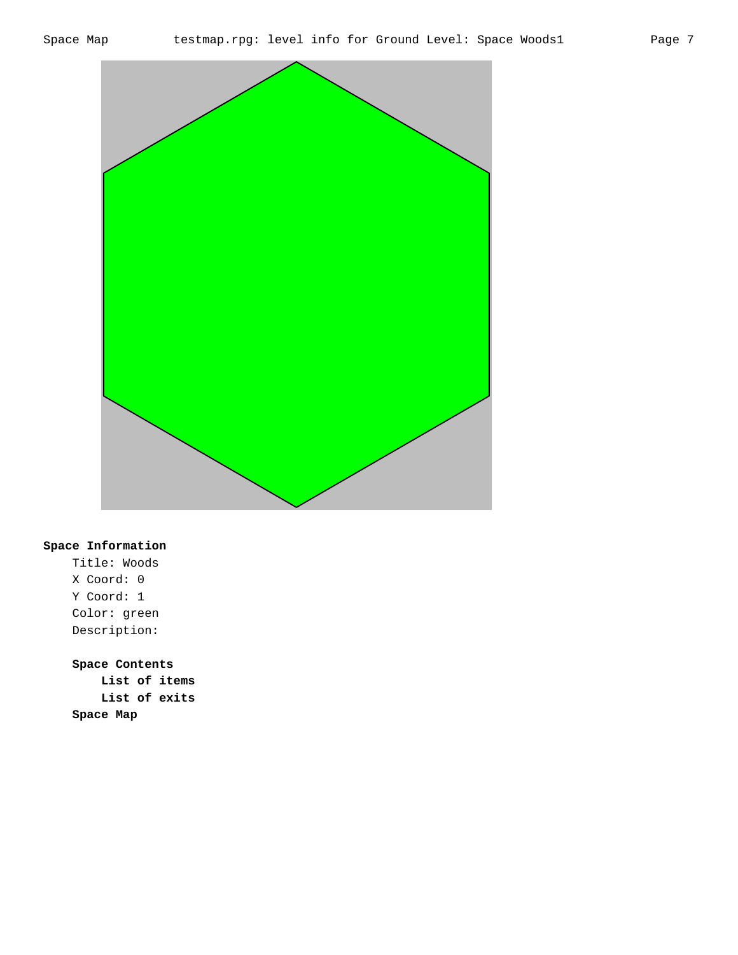

Title: Woods X Coord: 0 Y Coord: 1 Color: green Description: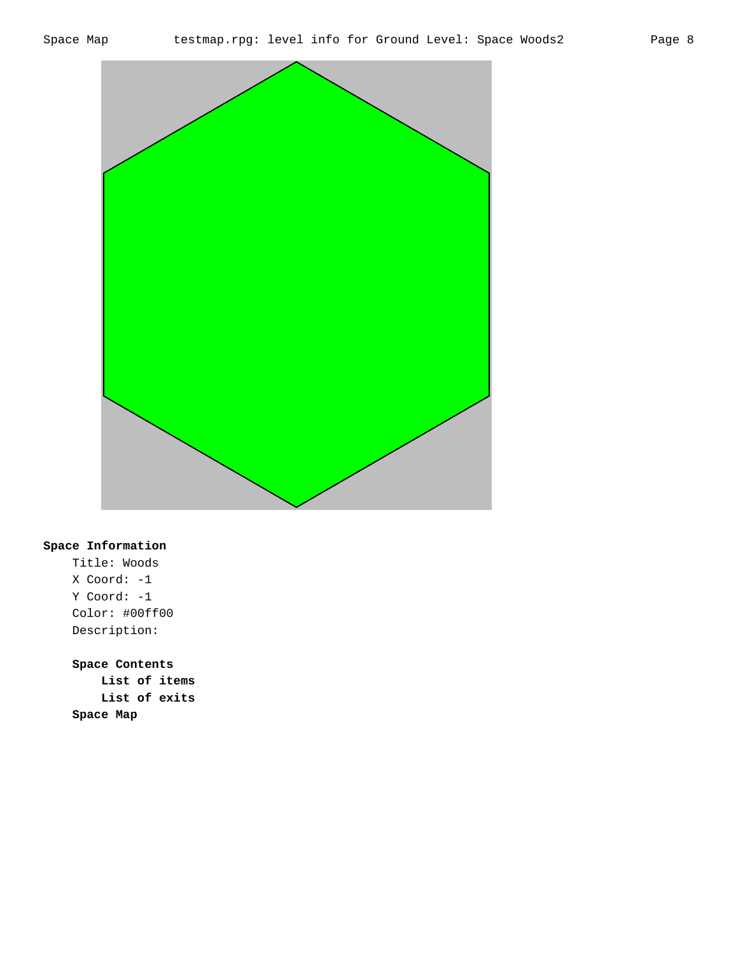



Title: Woods X Coord: -1 Y Coord: -1 Color: #00ff00 Description: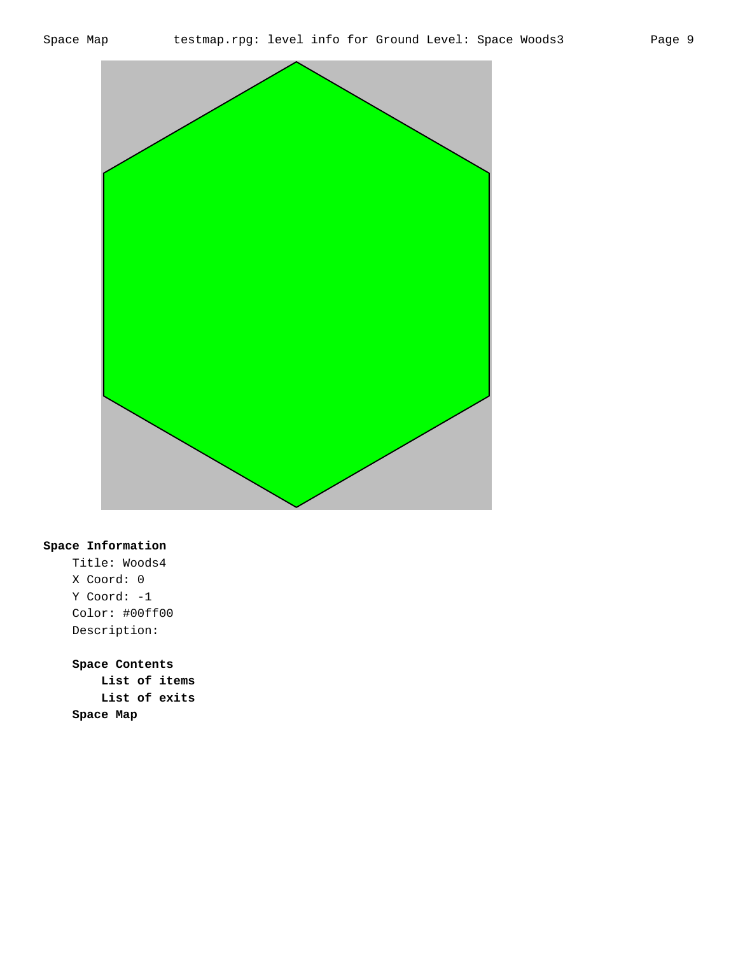



Title: Woods4 X Coord: 0 Y Coord: -1 Color: #00ff00 Description: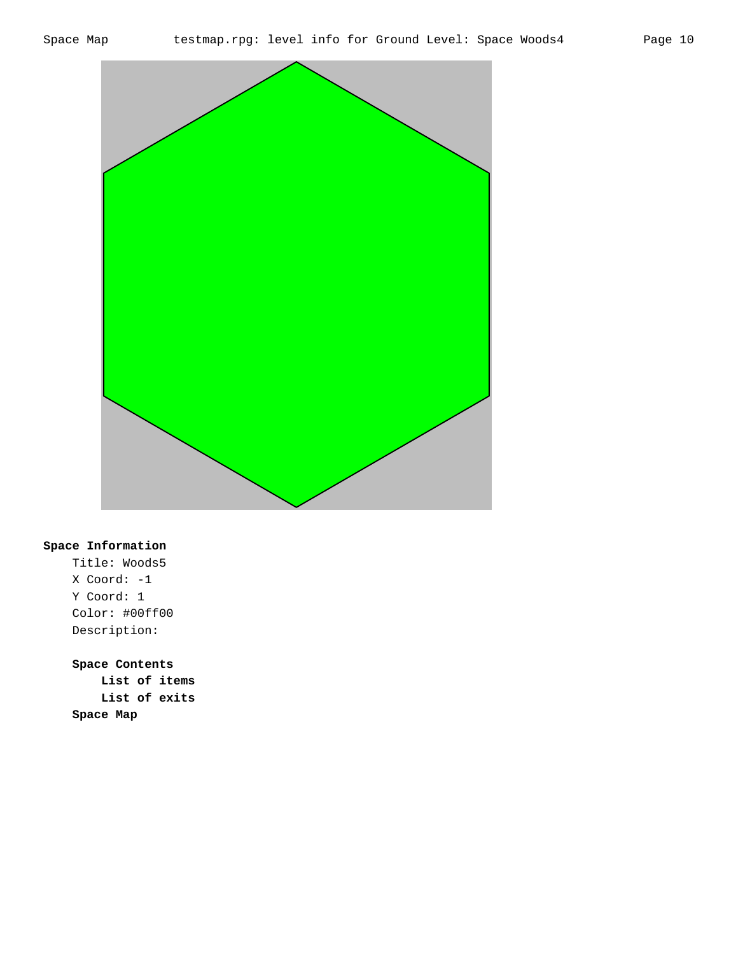



Title: Woods5 X Coord: -1 Y Coord: 1 Color: #00ff00 Description: